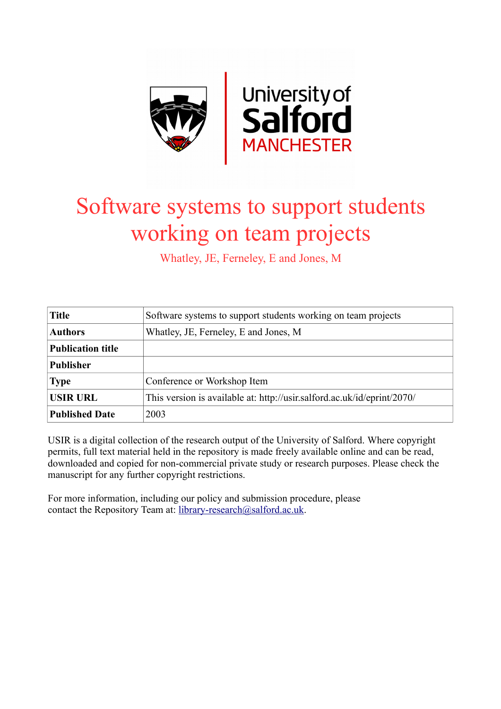

# Software systems to support students working on team projects

Whatley, JE, Ferneley, E and Jones, M

| <b>Title</b>             | Software systems to support students working on team projects           |  |  |
|--------------------------|-------------------------------------------------------------------------|--|--|
| <b>Authors</b>           | Whatley, JE, Ferneley, E and Jones, M                                   |  |  |
| <b>Publication title</b> |                                                                         |  |  |
| <b>Publisher</b>         |                                                                         |  |  |
| <b>Type</b>              | Conference or Workshop Item                                             |  |  |
| <b>USIR URL</b>          | This version is available at: http://usir.salford.ac.uk/id/eprint/2070/ |  |  |
| <b>Published Date</b>    | 2003                                                                    |  |  |

USIR is a digital collection of the research output of the University of Salford. Where copyright permits, full text material held in the repository is made freely available online and can be read, downloaded and copied for non-commercial private study or research purposes. Please check the manuscript for any further copyright restrictions.

For more information, including our policy and submission procedure, please contact the Repository Team at: [library-research@salford.ac.uk.](mailto:library-research@salford.ac.uk)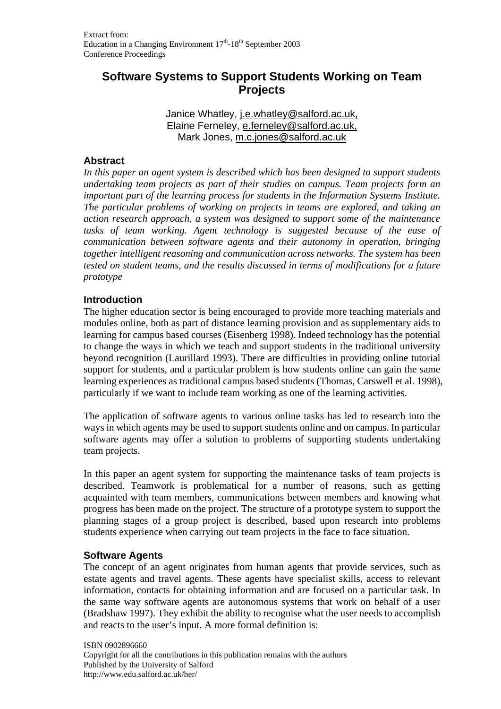# **Software Systems to Support Students Working on Team Projects**

Janice Whatley, j.e.whatley@salford.ac.uk, Elaine Ferneley, e.ferneley@salford.ac.uk, Mark Jones, m.c.jones@salford.ac.uk

# **Abstract**

*In this paper an agent system is described which has been designed to support students undertaking team projects as part of their studies on campus. Team projects form an important part of the learning process for students in the Information Systems Institute. The particular problems of working on projects in teams are explored, and taking an action research approach, a system was designed to support some of the maintenance tasks of team working. Agent technology is suggested because of the ease of communication between software agents and their autonomy in operation, bringing together intelligent reasoning and communication across networks. The system has been tested on student teams, and the results discussed in terms of modifications for a future prototype* 

#### **Introduction**

The higher education sector is being encouraged to provide more teaching materials and modules online, both as part of distance learning provision and as supplementary aids to learning for campus based courses (Eisenberg 1998). Indeed technology has the potential to change the ways in which we teach and support students in the traditional university beyond recognition (Laurillard 1993). There are difficulties in providing online tutorial support for students, and a particular problem is how students online can gain the same learning experiences as traditional campus based students (Thomas, Carswell et al. 1998), particularly if we want to include team working as one of the learning activities.

The application of software agents to various online tasks has led to research into the ways in which agents may be used to support students online and on campus. In particular software agents may offer a solution to problems of supporting students undertaking team projects.

In this paper an agent system for supporting the maintenance tasks of team projects is described. Teamwork is problematical for a number of reasons, such as getting acquainted with team members, communications between members and knowing what progress has been made on the project. The structure of a prototype system to support the planning stages of a group project is described, based upon research into problems students experience when carrying out team projects in the face to face situation.

# **Software Agents**

The concept of an agent originates from human agents that provide services, such as estate agents and travel agents. These agents have specialist skills, access to relevant information, contacts for obtaining information and are focused on a particular task. In the same way software agents are autonomous systems that work on behalf of a user (Bradshaw 1997). They exhibit the ability to recognise what the user needs to accomplish and reacts to the user's input. A more formal definition is: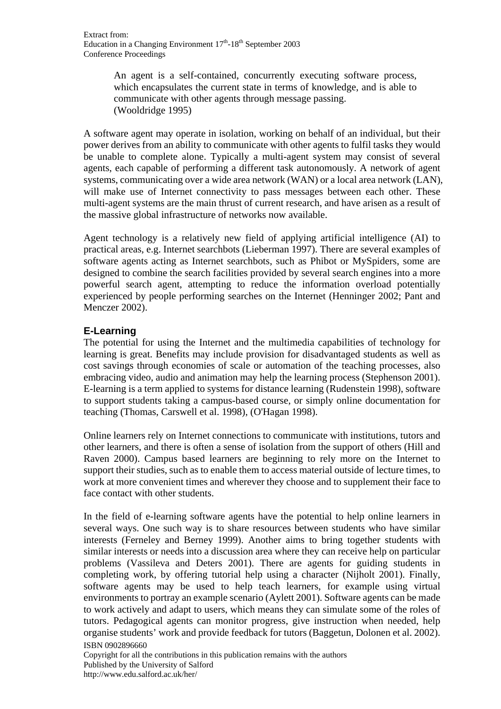An agent is a self-contained, concurrently executing software process, which encapsulates the current state in terms of knowledge, and is able to communicate with other agents through message passing. (Wooldridge 1995)

A software agent may operate in isolation, working on behalf of an individual, but their power derives from an ability to communicate with other agents to fulfil tasks they would be unable to complete alone. Typically a multi-agent system may consist of several agents, each capable of performing a different task autonomously. A network of agent systems, communicating over a wide area network (WAN) or a local area network (LAN), will make use of Internet connectivity to pass messages between each other. These multi-agent systems are the main thrust of current research, and have arisen as a result of the massive global infrastructure of networks now available.

Agent technology is a relatively new field of applying artificial intelligence (AI) to practical areas, e.g. Internet searchbots (Lieberman 1997). There are several examples of software agents acting as Internet searchbots, such as Phibot or MySpiders, some are designed to combine the search facilities provided by several search engines into a more powerful search agent, attempting to reduce the information overload potentially experienced by people performing searches on the Internet (Henninger 2002; Pant and Menczer 2002).

# **E-Learning**

The potential for using the Internet and the multimedia capabilities of technology for learning is great. Benefits may include provision for disadvantaged students as well as cost savings through economies of scale or automation of the teaching processes, also embracing video, audio and animation may help the learning process (Stephenson 2001). E-learning is a term applied to systems for distance learning (Rudenstein 1998), software to support students taking a campus-based course, or simply online documentation for teaching (Thomas, Carswell et al. 1998), (O'Hagan 1998).

Online learners rely on Internet connections to communicate with institutions, tutors and other learners, and there is often a sense of isolation from the support of others (Hill and Raven 2000). Campus based learners are beginning to rely more on the Internet to support their studies, such as to enable them to access material outside of lecture times, to work at more convenient times and wherever they choose and to supplement their face to face contact with other students.

ISBN 0902896660 In the field of e-learning software agents have the potential to help online learners in several ways. One such way is to share resources between students who have similar interests (Ferneley and Berney 1999). Another aims to bring together students with similar interests or needs into a discussion area where they can receive help on particular problems (Vassileva and Deters 2001). There are agents for guiding students in completing work, by offering tutorial help using a character (Nijholt 2001). Finally, software agents may be used to help teach learners, for example using virtual environments to portray an example scenario (Aylett 2001). Software agents can be made to work actively and adapt to users, which means they can simulate some of the roles of tutors. Pedagogical agents can monitor progress, give instruction when needed, help organise students' work and provide feedback for tutors (Baggetun, Dolonen et al. 2002).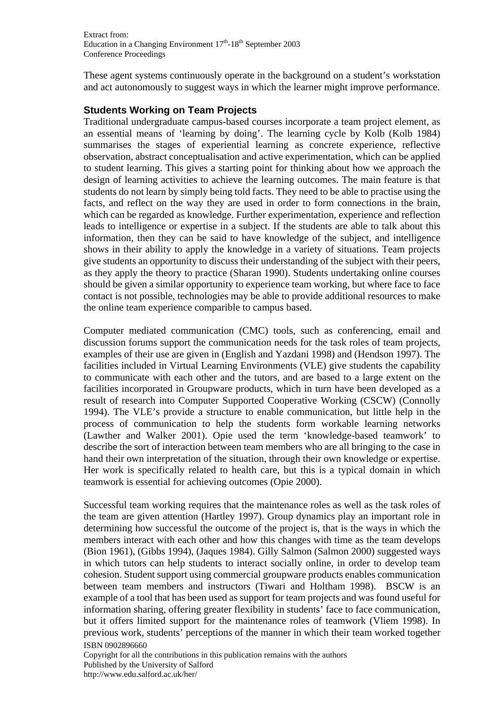These agent systems continuously operate in the background on a student's workstation and act autonomously to suggest ways in which the learner might improve performance.

# **Students Working on Team Projects**

Traditional undergraduate campus-based courses incorporate a team project element, as an essential means of 'learning by doing'. The learning cycle by Kolb (Kolb 1984) summarises the stages of experiential learning as concrete experience, reflective observation, abstract conceptualisation and active experimentation, which can be applied to student learning. This gives a starting point for thinking about how we approach the design of learning activities to achieve the learning outcomes. The main feature is that students do not learn by simply being told facts. They need to be able to practise using the facts, and reflect on the way they are used in order to form connections in the brain, which can be regarded as knowledge. Further experimentation, experience and reflection leads to intelligence or expertise in a subject. If the students are able to talk about this information, then they can be said to have knowledge of the subject, and intelligence shows in their ability to apply the knowledge in a variety of situations. Team projects give students an opportunity to discuss their understanding of the subject with their peers, as they apply the theory to practice (Sharan 1990). Students undertaking online courses should be given a similar opportunity to experience team working, but where face to face contact is not possible, technologies may be able to provide additional resources to make the online team experience comparible to campus based.

Computer mediated communication (CMC) tools, such as conferencing, email and discussion forums support the communication needs for the task roles of team projects, examples of their use are given in (English and Yazdani 1998) and (Hendson 1997). The facilities included in Virtual Learning Environments (VLE) give students the capability to communicate with each other and the tutors, and are based to a large extent on the facilities incorporated in Groupware products, which in turn have been developed as a result of research into Computer Supported Cooperative Working (CSCW) (Connolly 1994). The VLE's provide a structure to enable communication, but little help in the process of communication to help the students form workable learning networks (Lawther and Walker 2001). Opie used the term 'knowledge-based teamwork' to describe the sort of interaction between team members who are all bringing to the case in hand their own interpretation of the situation, through their own knowledge or expertise. Her work is specifically related to health care, but this is a typical domain in which teamwork is essential for achieving outcomes (Opie 2000).

ISBN 0902896660 Successful team working requires that the maintenance roles as well as the task roles of the team are given attention (Hartley 1997). Group dynamics play an important role in determining how successful the outcome of the project is, that is the ways in which the members interact with each other and how this changes with time as the team develops (Bion 1961), (Gibbs 1994), (Jaques 1984). Gilly Salmon (Salmon 2000) suggested ways in which tutors can help students to interact socially online, in order to develop team cohesion. Student support using commercial groupware products enables communication between team members and instructors (Tiwari and Holtham 1998). BSCW is an example of a tool that has been used as support for team projects and was found useful for information sharing, offering greater flexibility in students' face to face communication, but it offers limited support for the maintenance roles of teamwork (Vliem 1998). In previous work, students' perceptions of the manner in which their team worked together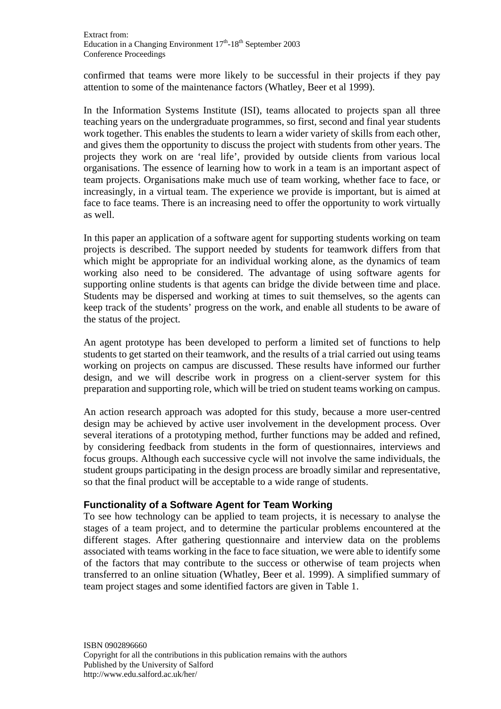confirmed that teams were more likely to be successful in their projects if they pay attention to some of the maintenance factors (Whatley, Beer et al 1999).

In the Information Systems Institute (ISI), teams allocated to projects span all three teaching years on the undergraduate programmes, so first, second and final year students work together. This enables the students to learn a wider variety of skills from each other, and gives them the opportunity to discuss the project with students from other years. The projects they work on are 'real life', provided by outside clients from various local organisations. The essence of learning how to work in a team is an important aspect of team projects. Organisations make much use of team working, whether face to face, or increasingly, in a virtual team. The experience we provide is important, but is aimed at face to face teams. There is an increasing need to offer the opportunity to work virtually as well.

In this paper an application of a software agent for supporting students working on team projects is described. The support needed by students for teamwork differs from that which might be appropriate for an individual working alone, as the dynamics of team working also need to be considered. The advantage of using software agents for supporting online students is that agents can bridge the divide between time and place. Students may be dispersed and working at times to suit themselves, so the agents can keep track of the students' progress on the work, and enable all students to be aware of the status of the project.

An agent prototype has been developed to perform a limited set of functions to help students to get started on their teamwork, and the results of a trial carried out using teams working on projects on campus are discussed. These results have informed our further design, and we will describe work in progress on a client-server system for this preparation and supporting role, which will be tried on student teams working on campus.

An action research approach was adopted for this study, because a more user-centred design may be achieved by active user involvement in the development process. Over several iterations of a prototyping method, further functions may be added and refined, by considering feedback from students in the form of questionnaires, interviews and focus groups. Although each successive cycle will not involve the same individuals, the student groups participating in the design process are broadly similar and representative, so that the final product will be acceptable to a wide range of students.

# **Functionality of a Software Agent for Team Working**

To see how technology can be applied to team projects, it is necessary to analyse the stages of a team project, and to determine the particular problems encountered at the different stages. After gathering questionnaire and interview data on the problems associated with teams working in the face to face situation, we were able to identify some of the factors that may contribute to the success or otherwise of team projects when transferred to an online situation (Whatley, Beer et al. 1999). A simplified summary of team project stages and some identified factors are given in Table 1.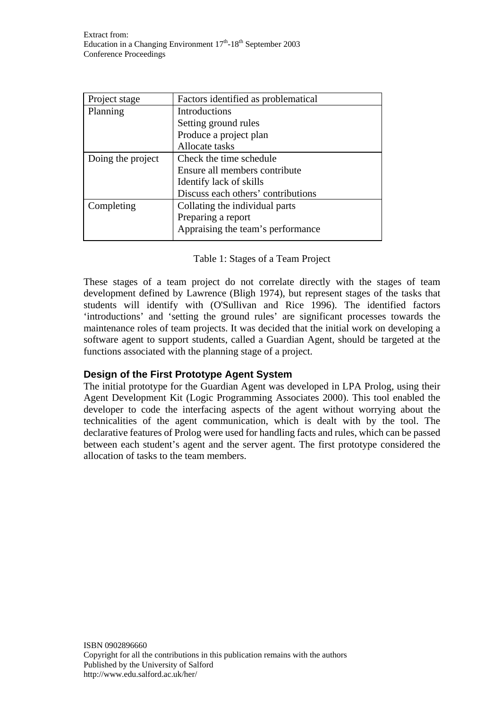| Factors identified as problematical |  |  |
|-------------------------------------|--|--|
| Introductions                       |  |  |
| Setting ground rules                |  |  |
| Produce a project plan              |  |  |
| Allocate tasks                      |  |  |
| Check the time schedule             |  |  |
| Ensure all members contribute       |  |  |
| Identify lack of skills             |  |  |
| Discuss each others' contributions  |  |  |
| Collating the individual parts      |  |  |
| Preparing a report                  |  |  |
| Appraising the team's performance   |  |  |
|                                     |  |  |

These stages of a team project do not correlate directly with the stages of team development defined by Lawrence (Bligh 1974), but represent stages of the tasks that students will identify with (O'Sullivan and Rice 1996). The identified factors 'introductions' and 'setting the ground rules' are significant processes towards the maintenance roles of team projects. It was decided that the initial work on developing a software agent to support students, called a Guardian Agent, should be targeted at the functions associated with the planning stage of a project.

# **Design of the First Prototype Agent System**

The initial prototype for the Guardian Agent was developed in LPA Prolog, using their Agent Development Kit (Logic Programming Associates 2000). This tool enabled the developer to code the interfacing aspects of the agent without worrying about the technicalities of the agent communication, which is dealt with by the tool. The declarative features of Prolog were used for handling facts and rules, which can be passed between each student's agent and the server agent. The first prototype considered the allocation of tasks to the team members.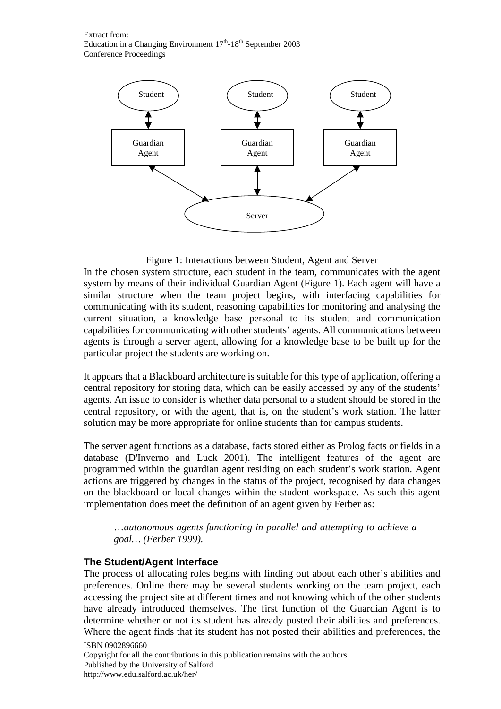

#### Figure 1: Interactions between Student, Agent and Server

In the chosen system structure, each student in the team, communicates with the agent system by means of their individual Guardian Agent (Figure 1). Each agent will have a similar structure when the team project begins, with interfacing capabilities for communicating with its student, reasoning capabilities for monitoring and analysing the current situation, a knowledge base personal to its student and communication capabilities for communicating with other students' agents. All communications between agents is through a server agent, allowing for a knowledge base to be built up for the particular project the students are working on.

It appears that a Blackboard architecture is suitable for this type of application, offering a central repository for storing data, which can be easily accessed by any of the students' agents. An issue to consider is whether data personal to a student should be stored in the central repository, or with the agent, that is, on the student's work station. The latter solution may be more appropriate for online students than for campus students.

The server agent functions as a database, facts stored either as Prolog facts or fields in a database (D'Inverno and Luck 2001). The intelligent features of the agent are programmed within the guardian agent residing on each student's work station. Agent actions are triggered by changes in the status of the project, recognised by data changes on the blackboard or local changes within the student workspace. As such this agent implementation does meet the definition of an agent given by Ferber as:

…*autonomous agents functioning in parallel and attempting to achieve a goal… (Ferber 1999).* 

#### **The Student/Agent Interface**

The process of allocating roles begins with finding out about each other's abilities and preferences. Online there may be several students working on the team project, each accessing the project site at different times and not knowing which of the other students have already introduced themselves. The first function of the Guardian Agent is to determine whether or not its student has already posted their abilities and preferences. Where the agent finds that its student has not posted their abilities and preferences, the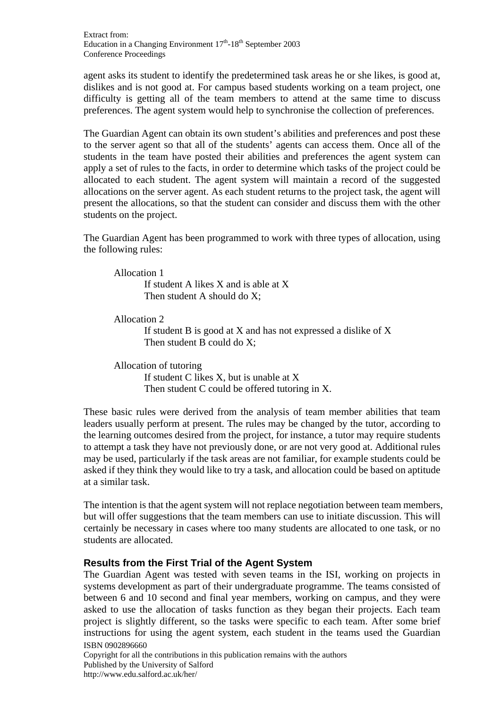agent asks its student to identify the predetermined task areas he or she likes, is good at, dislikes and is not good at. For campus based students working on a team project, one difficulty is getting all of the team members to attend at the same time to discuss preferences. The agent system would help to synchronise the collection of preferences.

The Guardian Agent can obtain its own student's abilities and preferences and post these to the server agent so that all of the students' agents can access them. Once all of the students in the team have posted their abilities and preferences the agent system can apply a set of rules to the facts, in order to determine which tasks of the project could be allocated to each student. The agent system will maintain a record of the suggested allocations on the server agent. As each student returns to the project task, the agent will present the allocations, so that the student can consider and discuss them with the other students on the project.

The Guardian Agent has been programmed to work with three types of allocation, using the following rules:

Allocation 1

 If student A likes X and is able at X Then student A should do X:

Allocation 2

 If student B is good at X and has not expressed a dislike of X Then student B could do X:

Allocation of tutoring If student C likes X, but is unable at X Then student C could be offered tutoring in X.

These basic rules were derived from the analysis of team member abilities that team leaders usually perform at present. The rules may be changed by the tutor, according to the learning outcomes desired from the project, for instance, a tutor may require students to attempt a task they have not previously done, or are not very good at. Additional rules may be used, particularly if the task areas are not familiar, for example students could be asked if they think they would like to try a task, and allocation could be based on aptitude at a similar task.

The intention is that the agent system will not replace negotiation between team members, but will offer suggestions that the team members can use to initiate discussion. This will certainly be necessary in cases where too many students are allocated to one task, or no students are allocated.

# **Results from the First Trial of the Agent System**

ISBN 0902896660 The Guardian Agent was tested with seven teams in the ISI, working on projects in systems development as part of their undergraduate programme. The teams consisted of between 6 and 10 second and final year members, working on campus, and they were asked to use the allocation of tasks function as they began their projects. Each team project is slightly different, so the tasks were specific to each team. After some brief instructions for using the agent system, each student in the teams used the Guardian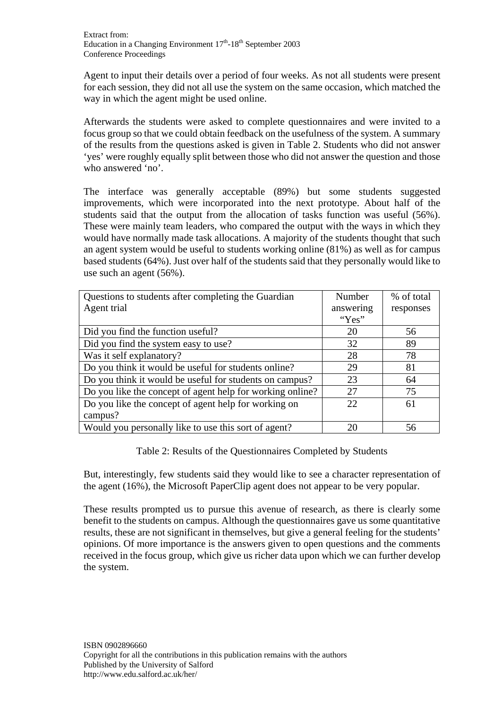Agent to input their details over a period of four weeks. As not all students were present for each session, they did not all use the system on the same occasion, which matched the way in which the agent might be used online.

Afterwards the students were asked to complete questionnaires and were invited to a focus group so that we could obtain feedback on the usefulness of the system. A summary of the results from the questions asked is given in Table 2. Students who did not answer 'yes' were roughly equally split between those who did not answer the question and those who answered 'no'.

The interface was generally acceptable (89%) but some students suggested improvements, which were incorporated into the next prototype. About half of the students said that the output from the allocation of tasks function was useful (56%). These were mainly team leaders, who compared the output with the ways in which they would have normally made task allocations. A majority of the students thought that such an agent system would be useful to students working online (81%) as well as for campus based students (64%). Just over half of the students said that they personally would like to use such an agent (56%).

| Questions to students after completing the Guardian       | Number    | % of total |
|-----------------------------------------------------------|-----------|------------|
| Agent trial                                               | answering | responses  |
|                                                           | " $Yes"$  |            |
| Did you find the function useful?                         | 20        | 56         |
| Did you find the system easy to use?                      | 32        | 89         |
| Was it self explanatory?                                  | 28        | 78         |
| Do you think it would be useful for students online?      | 29        | 81         |
| Do you think it would be useful for students on campus?   | 23        | 64         |
| Do you like the concept of agent help for working online? | 27        | 75         |
| Do you like the concept of agent help for working on      | 22        | 61         |
| campus?                                                   |           |            |
| Would you personally like to use this sort of agent?      | 20        | 56         |

Table 2: Results of the Questionnaires Completed by Students

But, interestingly, few students said they would like to see a character representation of the agent (16%), the Microsoft PaperClip agent does not appear to be very popular.

These results prompted us to pursue this avenue of research, as there is clearly some benefit to the students on campus. Although the questionnaires gave us some quantitative results, these are not significant in themselves, but give a general feeling for the students' opinions. Of more importance is the answers given to open questions and the comments received in the focus group, which give us richer data upon which we can further develop the system.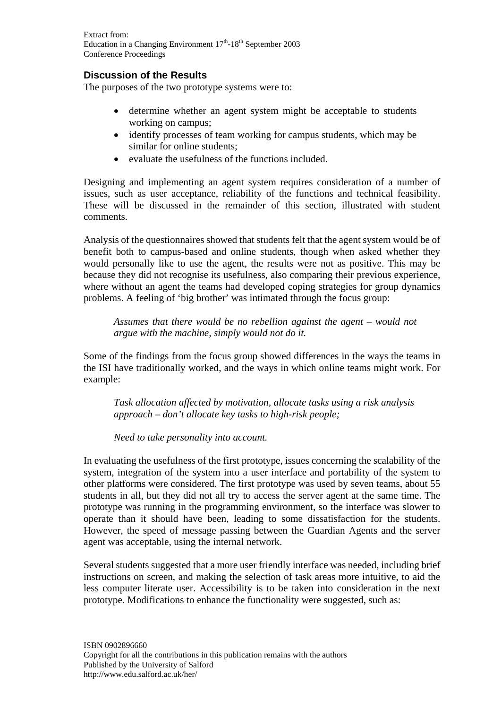Extract from: Education in a Changing Environment  $17<sup>th</sup> - 18<sup>th</sup>$  September 2003 Conference Proceedings

# **Discussion of the Results**

The purposes of the two prototype systems were to:

- determine whether an agent system might be acceptable to students working on campus;
- identify processes of team working for campus students, which may be similar for online students;
- evaluate the usefulness of the functions included.

Designing and implementing an agent system requires consideration of a number of issues, such as user acceptance, reliability of the functions and technical feasibility. These will be discussed in the remainder of this section, illustrated with student comments.

Analysis of the questionnaires showed that students felt that the agent system would be of benefit both to campus-based and online students, though when asked whether they would personally like to use the agent, the results were not as positive. This may be because they did not recognise its usefulness, also comparing their previous experience, where without an agent the teams had developed coping strategies for group dynamics problems. A feeling of 'big brother' was intimated through the focus group:

*Assumes that there would be no rebellion against the agent – would not argue with the machine, simply would not do it.* 

Some of the findings from the focus group showed differences in the ways the teams in the ISI have traditionally worked, and the ways in which online teams might work. For example:

*Task allocation affected by motivation, allocate tasks using a risk analysis approach – don't allocate key tasks to high-risk people;* 

*Need to take personality into account.* 

In evaluating the usefulness of the first prototype, issues concerning the scalability of the system, integration of the system into a user interface and portability of the system to other platforms were considered. The first prototype was used by seven teams, about 55 students in all, but they did not all try to access the server agent at the same time. The prototype was running in the programming environment, so the interface was slower to operate than it should have been, leading to some dissatisfaction for the students. However, the speed of message passing between the Guardian Agents and the server agent was acceptable, using the internal network.

Several students suggested that a more user friendly interface was needed, including brief instructions on screen, and making the selection of task areas more intuitive, to aid the less computer literate user. Accessibility is to be taken into consideration in the next prototype. Modifications to enhance the functionality were suggested, such as: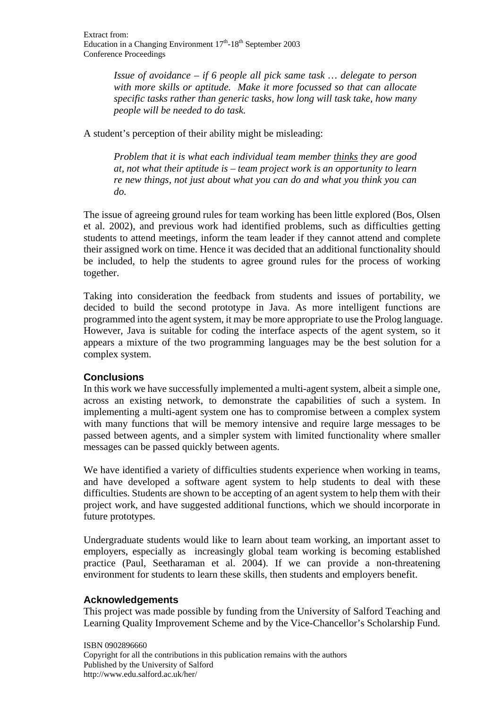*Issue of avoidance – if 6 people all pick same task … delegate to person with more skills or aptitude. Make it more focussed so that can allocate specific tasks rather than generic tasks, how long will task take, how many people will be needed to do task.* 

A student's perception of their ability might be misleading:

*Problem that it is what each individual team member thinks they are good at, not what their aptitude is – team project work is an opportunity to learn re new things, not just about what you can do and what you think you can do.* 

The issue of agreeing ground rules for team working has been little explored (Bos, Olsen et al. 2002), and previous work had identified problems, such as difficulties getting students to attend meetings, inform the team leader if they cannot attend and complete their assigned work on time. Hence it was decided that an additional functionality should be included, to help the students to agree ground rules for the process of working together.

Taking into consideration the feedback from students and issues of portability, we decided to build the second prototype in Java. As more intelligent functions are programmed into the agent system, it may be more appropriate to use the Prolog language. However, Java is suitable for coding the interface aspects of the agent system, so it appears a mixture of the two programming languages may be the best solution for a complex system.

# **Conclusions**

In this work we have successfully implemented a multi-agent system, albeit a simple one, across an existing network, to demonstrate the capabilities of such a system. In implementing a multi-agent system one has to compromise between a complex system with many functions that will be memory intensive and require large messages to be passed between agents, and a simpler system with limited functionality where smaller messages can be passed quickly between agents.

We have identified a variety of difficulties students experience when working in teams, and have developed a software agent system to help students to deal with these difficulties. Students are shown to be accepting of an agent system to help them with their project work, and have suggested additional functions, which we should incorporate in future prototypes.

Undergraduate students would like to learn about team working, an important asset to employers, especially as increasingly global team working is becoming established practice (Paul, Seetharaman et al. 2004). If we can provide a non-threatening environment for students to learn these skills, then students and employers benefit.

# **Acknowledgements**

This project was made possible by funding from the University of Salford Teaching and Learning Quality Improvement Scheme and by the Vice-Chancellor's Scholarship Fund.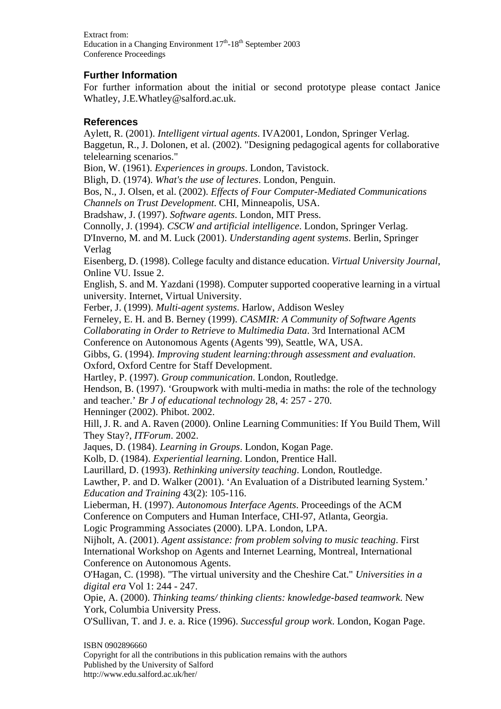Extract from: Education in a Changing Environment  $17<sup>th</sup> - 18<sup>th</sup>$  September 2003 Conference Proceedings

## **Further Information**

For further information about the initial or second prototype please contact Janice Whatley, J.E.Whatley@salford.ac.uk.

### **References**

Aylett, R. (2001). *Intelligent virtual agents*. IVA2001, London, Springer Verlag. Baggetun, R., J. Dolonen, et al. (2002). "Designing pedagogical agents for collaborative telelearning scenarios."

Bion, W. (1961). *Experiences in groups*. London, Tavistock.

Bligh, D. (1974). *What's the use of lectures*. London, Penguin.

Bos, N., J. Olsen, et al. (2002). *Effects of Four Computer-Mediated Communications Channels on Trust Development*. CHI, Minneapolis, USA.

Bradshaw, J. (1997). *Software agents*. London, MIT Press.

Connolly, J. (1994). *CSCW and artificial intelligence*. London, Springer Verlag.

D'Inverno, M. and M. Luck (2001). *Understanding agent systems*. Berlin, Springer Verlag

Eisenberg, D. (1998). College faculty and distance education. *Virtual University Journal*, Online VU. Issue 2.

English, S. and M. Yazdani (1998). Computer supported cooperative learning in a virtual university. Internet, Virtual University.

Ferber, J. (1999). *Multi-agent systems*. Harlow, Addison Wesley

Ferneley, E. H. and B. Berney (1999). *CASMIR: A Community of Software Agents* 

*Collaborating in Order to Retrieve to Multimedia Data*. 3rd International ACM

Conference on Autonomous Agents (Agents '99), Seattle, WA, USA.

Gibbs, G. (1994). *Improving student learning:through assessment and evaluation*.

Oxford, Oxford Centre for Staff Development.

Hartley, P. (1997). *Group communication*. London, Routledge.

Hendson, B. (1997). 'Groupwork with multi-media in maths: the role of the technology and teacher.' *Br J of educational technology* 28, 4: 257 - 270.

Henninger (2002). Phibot. 2002.

Hill, J. R. and A. Raven (2000). Online Learning Communities: If You Build Them, Will They Stay?, *ITForum*. 2002.

Jaques, D. (1984). *Learning in Groups*. London, Kogan Page.

Kolb, D. (1984). *Experiential learning*. London, Prentice Hall.

Laurillard, D. (1993). *Rethinking university teaching*. London, Routledge.

Lawther, P. and D. Walker (2001). 'An Evaluation of a Distributed learning System.' *Education and Training* 43(2): 105-116.

Lieberman, H. (1997). *Autonomous Interface Agents*. Proceedings of the ACM Conference on Computers and Human Interface, CHI-97, Atlanta, Georgia.

Logic Programming Associates (2000). LPA. London, LPA.

Nijholt, A. (2001). *Agent assistance: from problem solving to music teaching*. First International Workshop on Agents and Internet Learning, Montreal, International Conference on Autonomous Agents.

O'Hagan, C. (1998). "The virtual university and the Cheshire Cat." *Universities in a digital era* Vol 1: 244 - 247.

Opie, A. (2000). *Thinking teams/ thinking clients: knowledge-based teamwork*. New York, Columbia University Press.

O'Sullivan, T. and J. e. a. Rice (1996). *Successful group work*. London, Kogan Page.